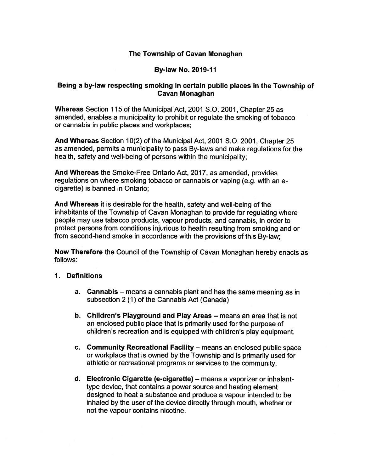## The Township of Cavan Monaghan

### By-law No. 2019-11

## Being <sup>a</sup> by-law respecting smoking in certain public <sup>p</sup>laces in the Township of Cavan Monaghan

Whereas Section <sup>115</sup> of the Municipal Act, 2001 S.D. 2001, Chapter 25 as amended, enables <sup>a</sup> municipality to prohibit or regulate the smoking of tobacco or cannabis in public places and workplaces;

And Whereas Section 10(2) of the Municipal Act, 2001 S.O. 2001, Chapter 25 as amended, permits <sup>a</sup> municipality to pass By-laws and make regulations for the health, safety and well-being of persons within the municipality;

And Whereas the Smoke-Free Ontario Act, 2017, as amended, provides regulations on where smoking tobacco or cannabis or vaping (e.g. with an <sup>e</sup> cigarette) is banned in Ontario;

And Whereas it is desirable for the health, safety and well-being of the inhabitants of the Township of Cavan Monaghan to provide for regulating where people may use tabacco products, vapour products, and cannabis, in order to protect persons from conditions injurious to health resulting from smoking and or from second-hand smoke in accordance with the provisions of this By-law;

Now Therefore the Council of the Township of Cavan Monaghan hereby enacts as follows:

#### 1. Definitions

- a. Cannabis means <sup>a</sup> cannabis <sup>p</sup>lant and has the same meaning as in subsection 2 (1) of the Cannabis Act (Canada)
- b. Children's Playground and Play Areas means an area that is not an enclosed public place that is primarily used for the purpose of children's recreation and is equipped with children's play equipment.
- c. Community Recreational Facility means an enclosed public space or workplace that is owned by the Township and is primarily used for athletic or recreational programs or services to the community.
- d. Electronic Cigarette (e-cigarette) means <sup>a</sup> vaporizer or inhalant type device, that contains <sup>a</sup> power source and heating element designed to heat <sup>a</sup> substance and produce <sup>a</sup> vapour intended to be inhaled by the user of the device directly through mouth, whether or not the vapour contains nicotine.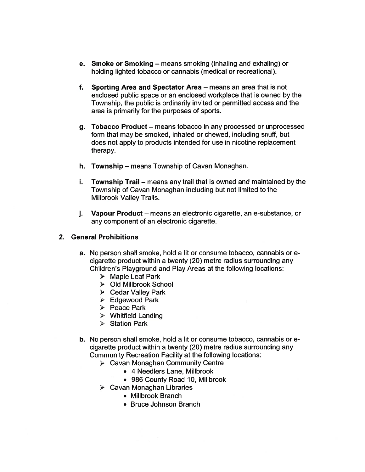- e. Smoke or Smoking means smoking (inhaling and exhaling) or holding lighted tobacco or cannabis (medical or recreational).
- f. Sporting Area and Spectator Area — means an area that is not enclosed public space or an enclosed workplace that is owned by the Township, the public is ordinarily invited or permitted access and the area is primarily for the purposes of sports.
- g. Tobacco Product means tobacco in any processed or unprocessed form that may be smoked, inhaled or chewed, including snuff, but does not apply to products intended for use in nicotine replacement therapy.
- h. Township means Township of Cavan Monaghan.
- i. Township Trail — means any trail that is owned and maintained by the Township of Cavan Monaghan including but not limited to the Millbrook Valley Trails.
- j. Vapour Product means an electronic cigarette, an e-substance, or any componen<sup>t</sup> of an electronic cigarette.

#### 2. General Prohibitions

- a. No person shall smoke, hold <sup>a</sup> lit or consume tobacco, cannabis or <sup>e</sup> cigarette product within <sup>a</sup> twenty (20) metre radius surrounding any Children's Playground and Play Areas at the following locations:
	- $\triangleright$  Maple Leaf Park
	- Old Milibrook School
	- Cedar Valley Park
	- Edgewood Park
	- Peace Park
	- Whitfield Landing
	- > Station Park
- b. No person shall smoke, hold <sup>a</sup> lit or consume tobacco, cannabis or <sup>e</sup> cigarette product within <sup>a</sup> twenty (20) metre radius surrounding any Community Recreation Facility at the following locations:
	- Cavan Monaghan Community Centre
		- 4 Needlers Lane, Millbrook
			- 986 County Road 10, Millbrook
	- Cavan Monaghan Libraries
		- Millbrook Branch
		- Bruce Johnson Branch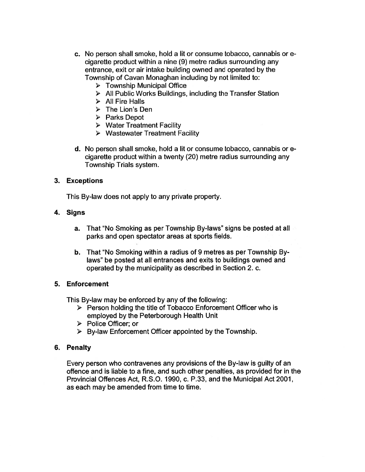- c. No person shall smoke, hold <sup>a</sup> lit or consume tobacco, cannabis or <sup>e</sup> cigarette product within <sup>a</sup> nine (9) metre radius surrounding any entrance, exit or air intake building owned and operated by the Township of Cavan Monaghan including by not limited to:
	- > Township Municipal Office
	- $\triangleright$  All Public Works Buildings, including the Transfer Station
	- $\triangleright$  All Fire Halls
	- $\triangleright$  The Lion's Den
	- $\triangleright$  Parks Depot
	- $\triangleright$  Water Treatment Facility
	- $\triangleright$  Wastewater Treatment Facility
- d. No person shall smoke, hold <sup>a</sup> lit or consume tobacco, cannabis or <sup>e</sup> cigarette product within <sup>a</sup> twenty (20) metre radius surrounding any Township Trials system.

## 3. Exceptions

This By-law does not apply to any private property.

### 4. Signs

- a. That "No Smoking as per Township By-laws" signs be posted at all parks and open spectator areas at sports fields.
- b. That "No Smoking within <sup>a</sup> radius of 9 metres as per Township By laws" be posted at all entrances and exits to buildings owned and operated by the municipality as described in Section 2. c.

## 5. Enforcement

This By-law may be enforced by any of the following:

- $\triangleright$  Person holding the title of Tobacco Enforcement Officer who is employed by the Peterborough Health Unit
- Police Officer; or
- $\triangleright$  By-law Enforcement Officer appointed by the Township.

## 6. Penalty

Every person who contravenes any provisions of the By-law is guilty of an offence and is liable to <sup>a</sup> fine, and such other penalties, as provided for in the Provincial Offences Act, R.S.O. 1990, c. P.33, and the Municipal Act 2001, as each may be amended from time to time.